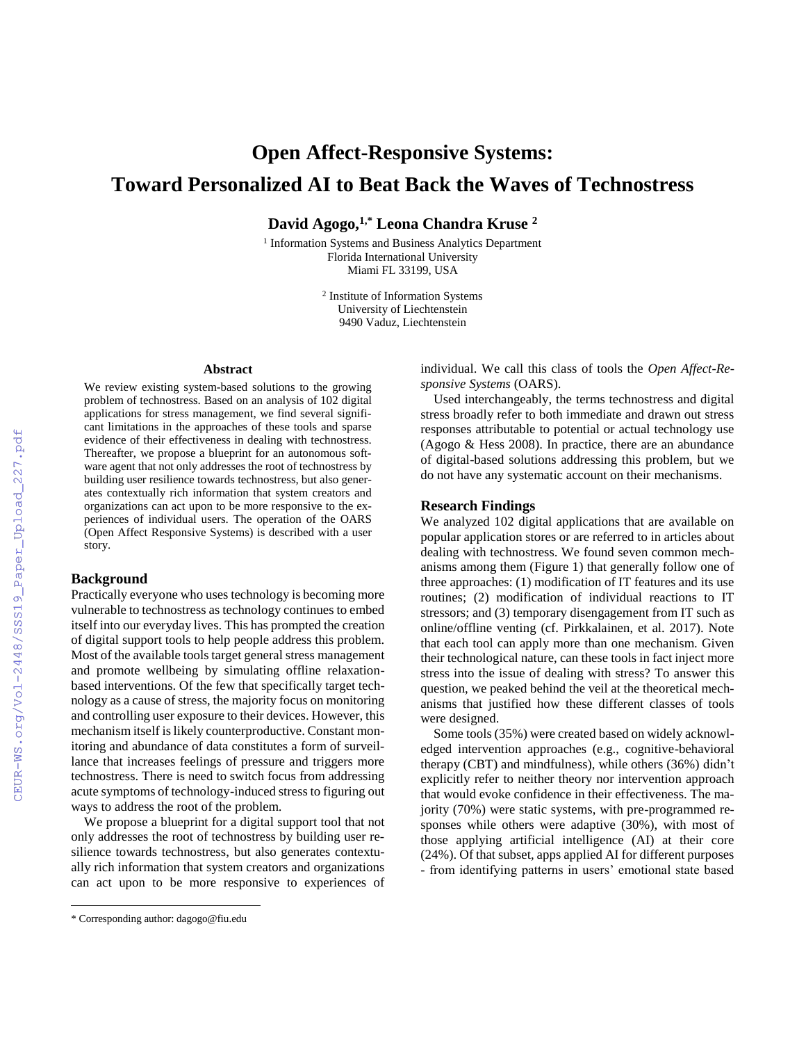# **Open Affect-Responsive Systems: Toward Personalized AI to Beat Back the Waves of Technostress**

**David Agogo,1,\* Leona Chandra Kruse <sup>2</sup>**

<sup>1</sup> Information Systems and Business Analytics Department Florida International University Miami FL 33199, USA

> 2 Institute of Information Systems University of Liechtenstein 9490 Vaduz, Liechtenstein

## **Abstract**

We review existing system-based solutions to the growing problem of technostress. Based on an analysis of 102 digital applications for stress management, we find several significant limitations in the approaches of these tools and sparse evidence of their effectiveness in dealing with technostress. Thereafter, we propose a blueprint for an autonomous software agent that not only addresses the root of technostress by building user resilience towards technostress, but also generates contextually rich information that system creators and organizations can act upon to be more responsive to the experiences of individual users. The operation of the OARS (Open Affect Responsive Systems) is described with a user story.

## **Background**

Practically everyone who uses technology is becoming more vulnerable to technostress as technology continues to embed itself into our everyday lives. This has prompted the creation of digital support tools to help people address this problem. Most of the available tools target general stress management and promote wellbeing by simulating offline relaxationbased interventions. Of the few that specifically target technology as a cause of stress, the majority focus on monitoring and controlling user exposure to their devices. However, this mechanism itself is likely counterproductive. Constant monitoring and abundance of data constitutes a form of surveillance that increases feelings of pressure and triggers more technostress. There is need to switch focus from addressing acute symptoms of technology-induced stress to figuring out ways to address the root of the problem.

We propose a blueprint for a digital support tool that not only addresses the root of technostress by building user resilience towards technostress, but also generates contextually rich information that system creators and organizations can act upon to be more responsive to experiences of

 $\overline{a}$ 

individual. We call this class of tools the *Open Affect-Responsive Systems* (OARS).

Used interchangeably, the terms technostress and digital stress broadly refer to both immediate and drawn out stress responses attributable to potential or actual technology use (Agogo & Hess 2008). In practice, there are an abundance of digital-based solutions addressing this problem, but we do not have any systematic account on their mechanisms.

### **Research Findings**

We analyzed 102 digital applications that are available on popular application stores or are referred to in articles about dealing with technostress. We found seven common mechanisms among them (Figure 1) that generally follow one of three approaches: (1) modification of IT features and its use routines; (2) modification of individual reactions to IT stressors; and (3) temporary disengagement from IT such as online/offline venting (cf. Pirkkalainen, et al. 2017). Note that each tool can apply more than one mechanism. Given their technological nature, can these tools in fact inject more stress into the issue of dealing with stress? To answer this question, we peaked behind the veil at the theoretical mechanisms that justified how these different classes of tools were designed.

Some tools (35%) were created based on widely acknowledged intervention approaches (e.g., cognitive-behavioral therapy (CBT) and mindfulness), while others (36%) didn't explicitly refer to neither theory nor intervention approach that would evoke confidence in their effectiveness. The majority (70%) were static systems, with pre-programmed responses while others were adaptive (30%), with most of those applying artificial intelligence (AI) at their core (24%). Of that subset, apps applied AI for different purposes - from identifying patterns in users' emotional state based

<sup>\*</sup> Corresponding author: dagogo@fiu.edu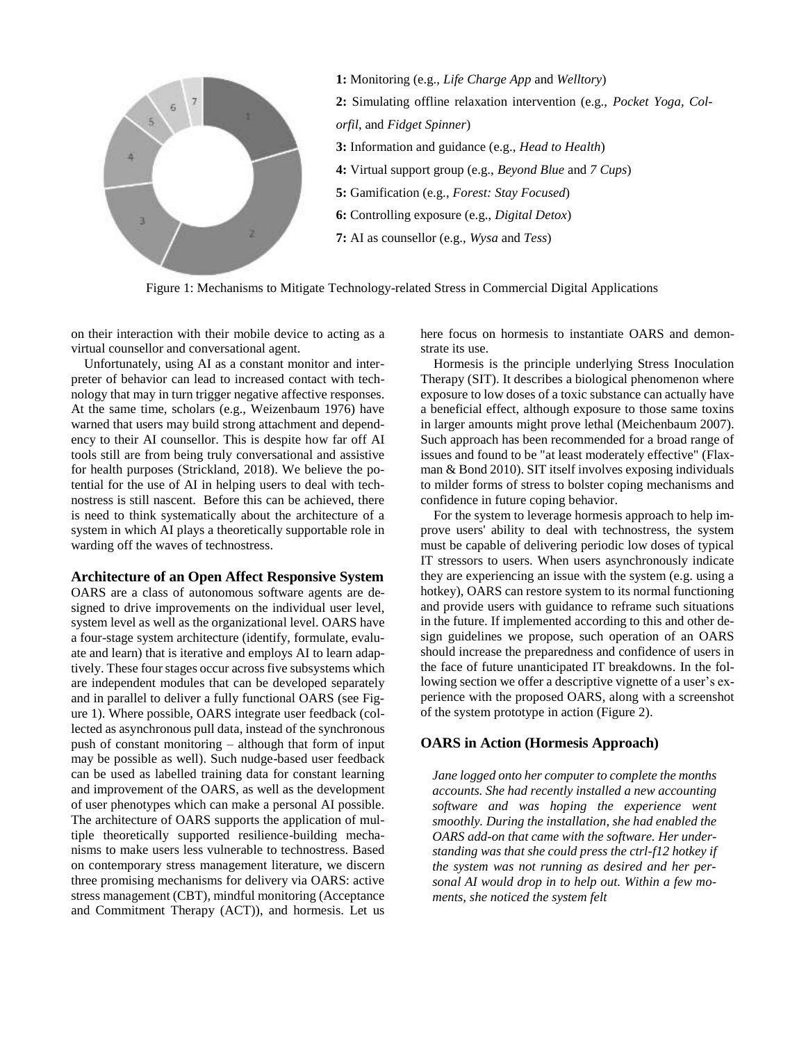

Figure 1: Mechanisms to Mitigate Technology-related Stress in Commercial Digital Applications

on their interaction with their mobile device to acting as a virtual counsellor and conversational agent.

Unfortunately, using AI as a constant monitor and interpreter of behavior can lead to increased contact with technology that may in turn trigger negative affective responses. At the same time, scholars (e.g., Weizenbaum 1976) have warned that users may build strong attachment and dependency to their AI counsellor. This is despite how far off AI tools still are from being truly conversational and assistive for health purposes (Strickland, 2018). We believe the potential for the use of AI in helping users to deal with technostress is still nascent. Before this can be achieved, there is need to think systematically about the architecture of a system in which AI plays a theoretically supportable role in warding off the waves of technostress.

#### **Architecture of an Open Affect Responsive System**

OARS are a class of autonomous software agents are designed to drive improvements on the individual user level, system level as well as the organizational level. OARS have a four-stage system architecture (identify, formulate, evaluate and learn) that is iterative and employs AI to learn adaptively. These four stages occur across five subsystems which are independent modules that can be developed separately and in parallel to deliver a fully functional OARS (see Figure 1). Where possible, OARS integrate user feedback (collected as asynchronous pull data, instead of the synchronous push of constant monitoring – although that form of input may be possible as well). Such nudge-based user feedback can be used as labelled training data for constant learning and improvement of the OARS, as well as the development of user phenotypes which can make a personal AI possible. The architecture of OARS supports the application of multiple theoretically supported resilience-building mechanisms to make users less vulnerable to technostress. Based on contemporary stress management literature, we discern three promising mechanisms for delivery via OARS: active stress management (CBT), mindful monitoring (Acceptance and Commitment Therapy (ACT)), and hormesis. Let us

here focus on hormesis to instantiate OARS and demonstrate its use.

Hormesis is the principle underlying Stress Inoculation Therapy (SIT). It describes a biological phenomenon where exposure to low doses of a toxic substance can actually have a beneficial effect, although exposure to those same toxins in larger amounts might prove lethal (Meichenbaum 2007). Such approach has been recommended for a broad range of issues and found to be "at least moderately effective" (Flaxman & Bond 2010). SIT itself involves exposing individuals to milder forms of stress to bolster coping mechanisms and confidence in future coping behavior.

For the system to leverage hormesis approach to help improve users' ability to deal with technostress, the system must be capable of delivering periodic low doses of typical IT stressors to users. When users asynchronously indicate they are experiencing an issue with the system (e.g. using a hotkey), OARS can restore system to its normal functioning and provide users with guidance to reframe such situations in the future. If implemented according to this and other design guidelines we propose, such operation of an OARS should increase the preparedness and confidence of users in the face of future unanticipated IT breakdowns. In the following section we offer a descriptive vignette of a user's experience with the proposed OARS, along with a screenshot of the system prototype in action (Figure 2).

## **OARS in Action (Hormesis Approach)**

*Jane logged onto her computer to complete the months accounts. She had recently installed a new accounting software and was hoping the experience went smoothly. During the installation, she had enabled the OARS add-on that came with the software. Her understanding was that she could press the ctrl-f12 hotkey if the system was not running as desired and her personal AI would drop in to help out. Within a few moments, she noticed the system felt*